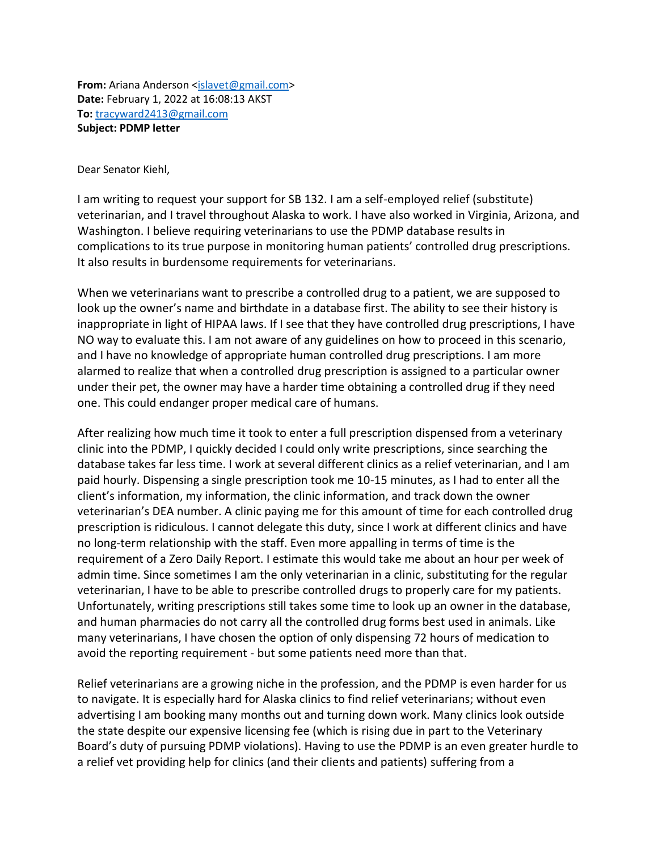**From:** Ariana Anderson [<islavet@gmail.com>](mailto:islavet@gmail.com) **Date:** February 1, 2022 at 16:08:13 AKST **To:** [tracyward2413@gmail.com](mailto:tracyward2413@gmail.com) **Subject: PDMP letter**

Dear Senator Kiehl,

I am writing to request your support for SB 132. I am a self-employed relief (substitute) veterinarian, and I travel throughout Alaska to work. I have also worked in Virginia, Arizona, and Washington. I believe requiring veterinarians to use the PDMP database results in complications to its true purpose in monitoring human patients' controlled drug prescriptions. It also results in burdensome requirements for veterinarians.

When we veterinarians want to prescribe a controlled drug to a patient, we are supposed to look up the owner's name and birthdate in a database first. The ability to see their history is inappropriate in light of HIPAA laws. If I see that they have controlled drug prescriptions, I have NO way to evaluate this. I am not aware of any guidelines on how to proceed in this scenario, and I have no knowledge of appropriate human controlled drug prescriptions. I am more alarmed to realize that when a controlled drug prescription is assigned to a particular owner under their pet, the owner may have a harder time obtaining a controlled drug if they need one. This could endanger proper medical care of humans.

After realizing how much time it took to enter a full prescription dispensed from a veterinary clinic into the PDMP, I quickly decided I could only write prescriptions, since searching the database takes far less time. I work at several different clinics as a relief veterinarian, and I am paid hourly. Dispensing a single prescription took me 10-15 minutes, as I had to enter all the client's information, my information, the clinic information, and track down the owner veterinarian's DEA number. A clinic paying me for this amount of time for each controlled drug prescription is ridiculous. I cannot delegate this duty, since I work at different clinics and have no long-term relationship with the staff. Even more appalling in terms of time is the requirement of a Zero Daily Report. I estimate this would take me about an hour per week of admin time. Since sometimes I am the only veterinarian in a clinic, substituting for the regular veterinarian, I have to be able to prescribe controlled drugs to properly care for my patients. Unfortunately, writing prescriptions still takes some time to look up an owner in the database, and human pharmacies do not carry all the controlled drug forms best used in animals. Like many veterinarians, I have chosen the option of only dispensing 72 hours of medication to avoid the reporting requirement - but some patients need more than that.

Relief veterinarians are a growing niche in the profession, and the PDMP is even harder for us to navigate. It is especially hard for Alaska clinics to find relief veterinarians; without even advertising I am booking many months out and turning down work. Many clinics look outside the state despite our expensive licensing fee (which is rising due in part to the Veterinary Board's duty of pursuing PDMP violations). Having to use the PDMP is an even greater hurdle to a relief vet providing help for clinics (and their clients and patients) suffering from a